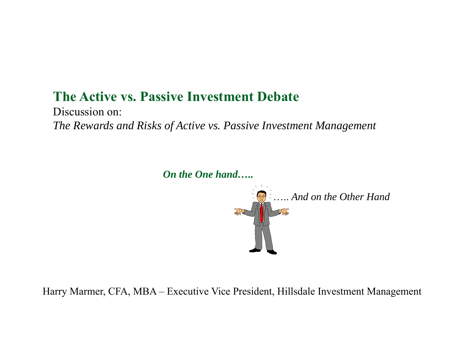#### **The Active vs. Passive Investment Debate**

Discussion on: *The Rewards and Risks of Active vs. Passive Investment Management*

*On the One hand…..*



Harry Marmer, CFA, MBA – Executive Vice President, Hillsdale Investment Management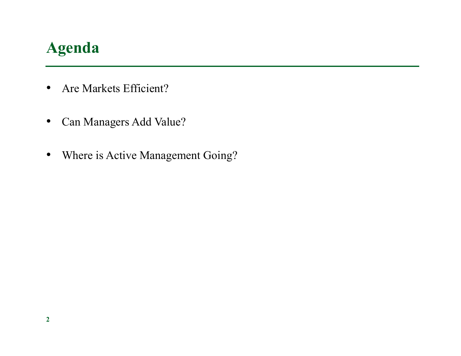# **Agenda**

- $\bullet$ Are Markets Efficient?
- •Can Managers Add Value?
- •Where is Active Management Going?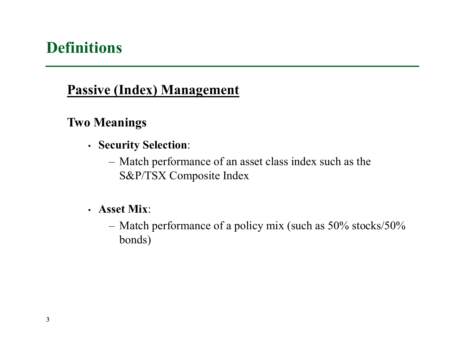# **Definitions**

#### **Passive (Index) Management**

#### **Two Meanings**

- **Security Selection**:
	- Match performance of an asset class index such as the S&P/TSX Composite Index
- **Asset Mix**:
	- Match performance of a policy mix (such as 50% stocks/50% bonds)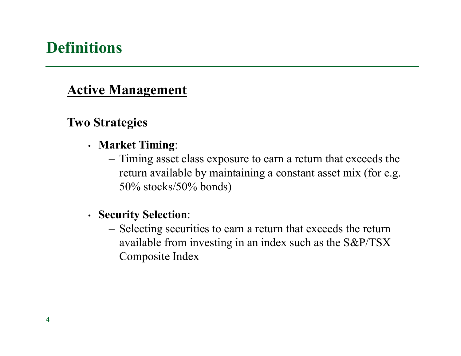# **Definitions**

#### **Active Management**

#### **Two Strategies**

- **Market Timing**:
	- Timing asset class exposure to earn a return that exceeds the return available by maintaining a constant asset mix (for e.g. 50% stocks/50% bonds)
- **Security Selection**:
	- Selecting securities to earn a return that exceeds the return available from investing in an index such as the S&P/TSX Composite Index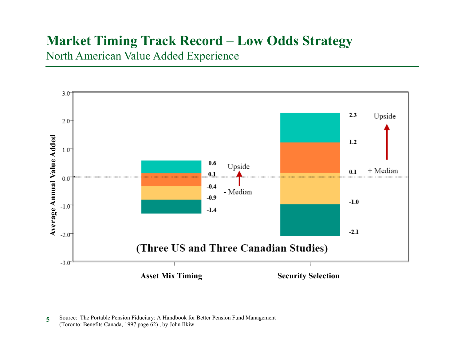#### **Market Timing Track Record – Low Odds Strategy**

North American Value Added Experience



**<sup>5</sup>**Source: The Portable Pension Fiduciary: A Handbook for Better Pension Fund Management (Toronto: Benefits Canada, 1997 page 62) , by John Ilkiw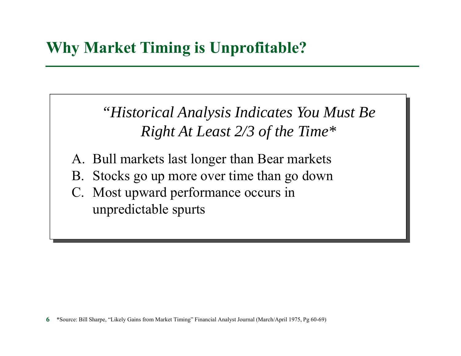*"Historical Analysis Indicates You Must Be Right At Least 2/3 of the Time\**

- A. Bull markets last longer than Bear markets
- B. Stocks go up more over time than go down
- C. Most upward performance occurs in unpredictable spurts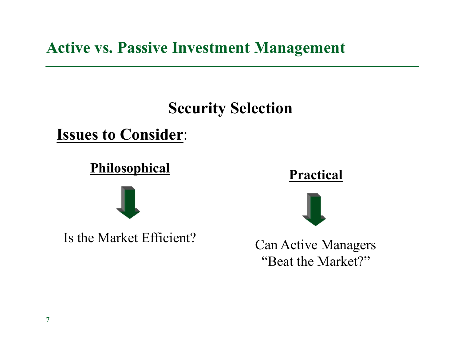**Active vs. Passive Investment Management**

# **Security Selection**

**Issues to Consider**:

### **Philosophical**



Is the Market Efficient?





Can Active Managers "Beat the Market?"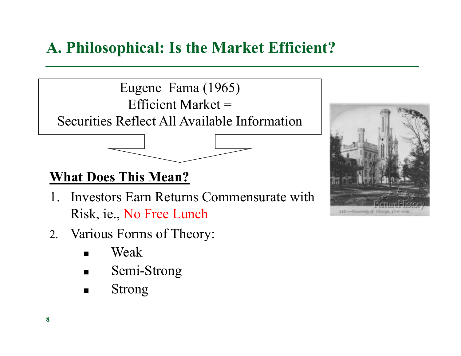Eugene Fama (1965) Efficient Market  $=$ Securities Reflect All Available Information

# **What Does This Mean?**

- 1. Investors Earn Returns Commensurate with Risk, ie., No Free Lunch
- 2. Various Forms of Theory:
	- W Weak
	- $\blacksquare$ Semi-Strong
	- $\blacksquare$ Strong

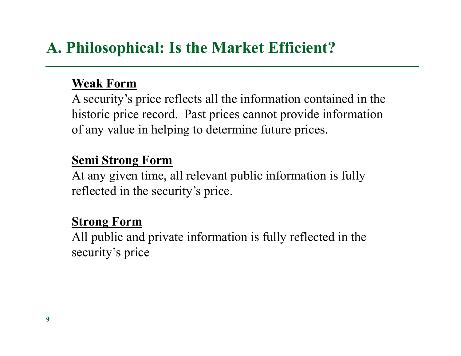#### **Weak Form**

A security's price reflects all the information contained in the historic price record. Past prices cannot provide information of any value in helping to determine future prices.

#### **Semi Strong Form**

At any given time, all relevant public information is fully reflected in the security's price.

#### **Strong Form**

All public and private information is fully reflected in the security's price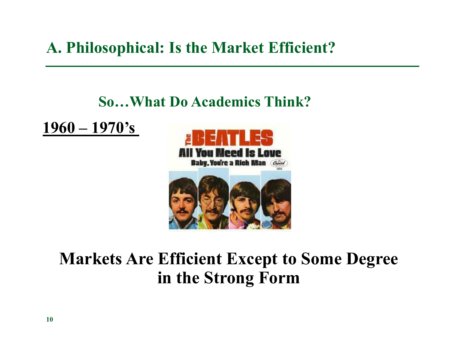### **So…What Do Academics Think?**

**1960 – 1970's** 



# **Markets Are Efficient Except to Some Degree in the Strong Form**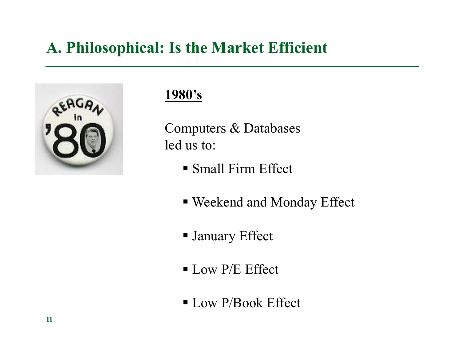

#### **1980's**

Computers & Databases led us to:

- Small Firm Effect
- Weekend and Monday Effect
- January Effect
- **Low P/E Effect**
- Low P/Book Effect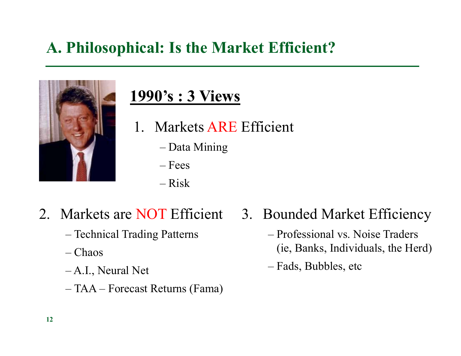

# **1990's : 3 Views**

- 1. Markets ARE Efficient
	- –Data Mining
	- Fees
	- Risk
- - –Technical Trading Patterns
	- Chaos
	- A.I., Neural Net
	- –TAA – Forecast Returns (Fama)
- 2. Markets are NOT Efficient 3. Bounded Market Efficiency
	- Professional vs. Noise Traders (ie, Banks, Individuals, the Herd)
	- Fads, Bubbles, etc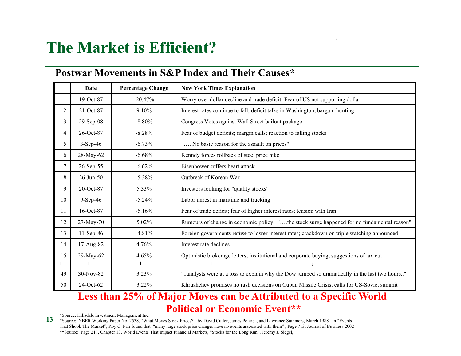# **The Market is Efficient?**

#### **Postwar Movements in S&P Index and Their Causes\***

|                | <b>Date</b>     | <b>Percentage Change</b> | <b>New York Times Explanation</b>                                                             |
|----------------|-----------------|--------------------------|-----------------------------------------------------------------------------------------------|
|                | 19-Oct-87       | $-20.47%$                | Worry over dollar decline and trade deficit; Fear of US not supporting dollar                 |
| $\overline{c}$ | 21-Oct-87       | 9.10%                    | Interest rates continue to fall; deficit talks in Washington; bargain hunting                 |
| 3              | $29-Sep-08$     | $-8.80%$                 | Congress Votes against Wall Street bailout package                                            |
| 4              | 26-Oct-87       | $-8.28%$                 | Fear of budget deficits; margin calls; reaction to falling stocks                             |
| 5              | $3-Sep-46$      | $-6.73%$                 | " No basic reason for the assault on prices"                                                  |
| 6              | 28-May-62       | $-6.68%$                 | Kenndy forces rollback of steel price hike                                                    |
| 7              | 26-Sep-55       | $-6.62%$                 | Eisenhower suffers heart attack                                                               |
| 8              | $26$ -Jun- $50$ | $-5.38%$                 | Outbreak of Korean War                                                                        |
| 9              | 20-Oct-87       | 5.33%                    | Investors looking for "quality stocks"                                                        |
| 10             | $9-Sep-46$      | $-5.24%$                 | Labor unrest in maritime and trucking                                                         |
| 11             | 16-Oct-87       | $-5.16%$                 | Fear of trade deficit; fear of higher interest rates; tension with Iran                       |
| 12             | 27-May-70       | 5.02%                    | Rumours of change in economic policy. "the stock surge happened for no fundamental reason"    |
| 13             | $11-Sep-86$     | $-4.81%$                 | Foreign governments refuse to lower interest rates; crackdown on triple watching announced    |
| 14             | 17-Aug-82       | 4.76%                    | Interest rate declines                                                                        |
| 15             | 29-May-62       | 4.65%                    | Optimistic brokerage letters; institutional and corporate buying; suggestions of tax cut      |
|                | ÷               | ÷                        | ÷                                                                                             |
| 49             | 30-Nov-82       | 3.23%                    | "analysts were at a loss to explain why the Dow jumped so dramatically in the last two hours" |
| 50             | 24-Oct-62       | 3.22%                    | Khrushchev promises no rash decisions on Cuban Missile Crisis; calls for US-Soviet summit     |

#### **Less than 25% of Major Moves can be Attributed to a Specific World Political or Economic Event\*\***

\*Source: Hillsdale Investment Management Inc.

\*Source: NBER Working Paper No. 2538, "What Moves Stock Prices?", by David Cutler, James Poterba, and Lawrence Summers, March 1988. In "Events That Shook The Market", Roy C. Fair found that "many large stock price changes have no events associated with them" , Page 713, Journal of Business 2002 \*\*Source: Page 217, Chapter 13, World Events That Impact Financial Markets, "Stocks for the Long Run", Jeremy J. Siegel,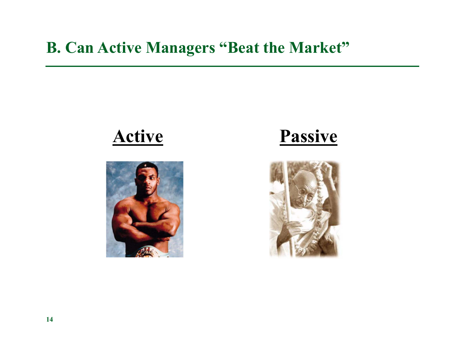# **B. Can Active Managers "Beat the Market"**

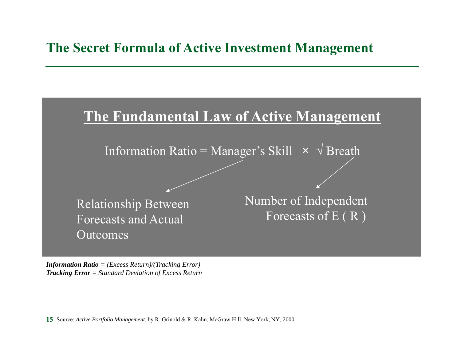#### **The Secret Formula of Active Investment Management**



*Information Ratio = (Excess Return)/(Tracking Error) Tracking Error = Standard Deviation of Excess Return*

**15**Source: *Active Portfolio Management*, by R. Grinold & R. Kahn, McGraw Hill, New York, NY, 2000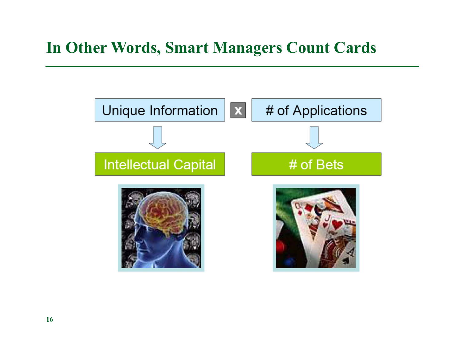# **In Other Words, Smart Managers Count Cards**

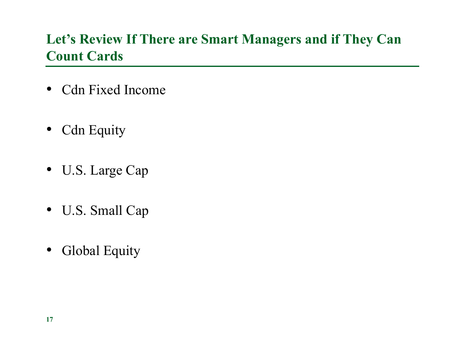### **Let's Review If There are Smart Managers and if They Can Count Cards**

- Cdn Fixed Income
- Cdn Equity
- U.S. Large Cap
- U.S. Small Cap
- Global Equity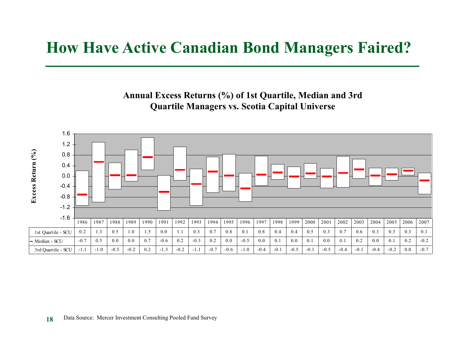# **How Have Active Canadian Bond Managers Faired?**

**Annual Excess Returns (%) of 1st Quartile, Median and 3rd Quartile Managers vs. Scotia Capital Universe**

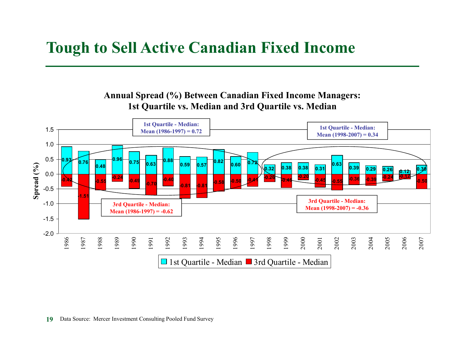# **Tough to Sell Active Canadian Fixed Income**

**Annual Spread (%) Between Canadian Fixed Income Managers: 1st Quartile vs. Median and 3rd Quartile vs. Median**

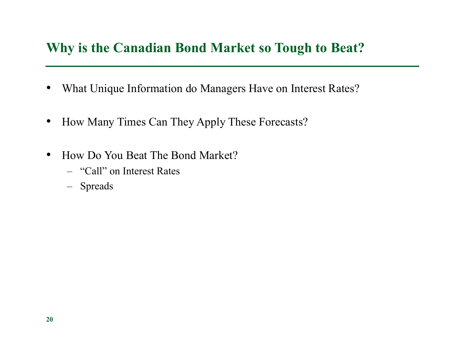#### **Why is the Canadian Bond Market so Tough to Beat?**

- $\bullet$ What Unique Information do Managers Have on Interest Rates?
- •How Many Times Can They Apply These Forecasts?
- $\bullet$ • How Do You Beat The Bond Market?
	- "Call" on Interest Rates
	- Spreads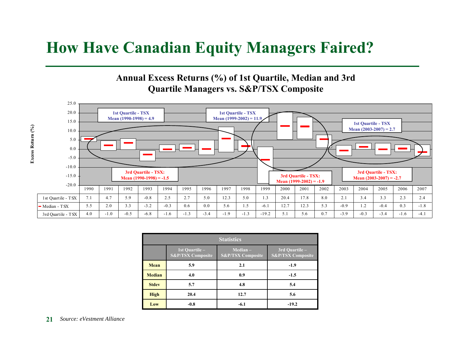### **How Have Canadian Equity Managers Faired?**

#### **Annual Excess Returns (%) of 1st Quartile, Median and 3rd Quartile Managers vs. S&P/TSX Composite**



| <b>Statistics</b> |                                                |                                            |                                                |  |
|-------------------|------------------------------------------------|--------------------------------------------|------------------------------------------------|--|
|                   | 1st Quartile -<br><b>S&amp;P/TSX Composite</b> | $Median -$<br><b>S&amp;P/TSX Composite</b> | 3rd Ouartile -<br><b>S&amp;P/TSX Composite</b> |  |
| Mean              | 5.9                                            | 2.1                                        | $-1.9$                                         |  |
| <b>Median</b>     | 4.0                                            | 0.9                                        | $-1.5$                                         |  |
| <b>Stdev</b>      | 5.7                                            | 4.8                                        | 5.4                                            |  |
| <b>High</b>       | 20.4                                           | 12.7                                       | 5.6                                            |  |
| Low               | $-0.8$                                         | $-6.1$                                     | $-19.2$                                        |  |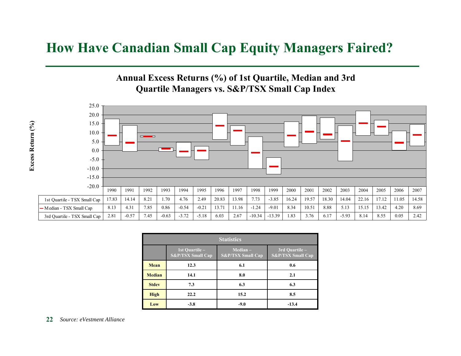#### **How Have Canadian Small Cap Equity Managers Faired?**

#### **Annual Excess Returns (%) of 1st Quartile, Median and 3rd Quartile Managers vs. S&P/TSX Small Cap Index**



| <b>Statistics</b> |                                                |                                            |                                                |  |
|-------------------|------------------------------------------------|--------------------------------------------|------------------------------------------------|--|
|                   | 1st Ouartile -<br><b>S&amp;P/TSX Small Cap</b> | $Median -$<br><b>S&amp;P/TSX Small Cap</b> | 3rd Ouartile -<br><b>S&amp;P/TSX Small Cap</b> |  |
| Mean              | 12.3                                           | 6.1                                        | 0.6                                            |  |
| <b>Median</b>     | 14.1                                           | 8.0                                        | 2.1                                            |  |
| <b>Stdev</b>      | 7.3                                            | 6.3                                        | 6.3                                            |  |
| <b>High</b>       | 22.2                                           | 15.2                                       | 8.5                                            |  |
| Low               | $-3.8$                                         | $-9.0$                                     | $-13.4$                                        |  |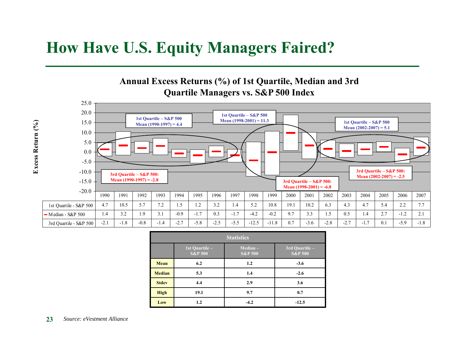#### **How Have U.S. Equity Managers Faired?**

#### **Annual Excess Returns (%) of 1st Quartile, Median and 3rd Quartile Managers vs. S&P 500 Index**



| <b>Statistics</b> |                                      |                                  |                                      |  |
|-------------------|--------------------------------------|----------------------------------|--------------------------------------|--|
|                   | 1st Quartile –<br><b>S&amp;P 500</b> | $Median -$<br><b>S&amp;P 500</b> | 3rd Quartile -<br><b>S&amp;P 500</b> |  |
| Mean              | 6.2                                  | 1.2                              | $-3.6$                               |  |
| <b>Median</b>     | 5.3                                  | 1.4                              | $-2.6$                               |  |
| <b>Stdev</b>      | 4.4                                  | 2.9                              | 3.6                                  |  |
| <b>High</b>       | 19.1                                 | 9.7                              | 0.7                                  |  |
| Low               | 1.2                                  | $-4.2$                           | $-12.5$                              |  |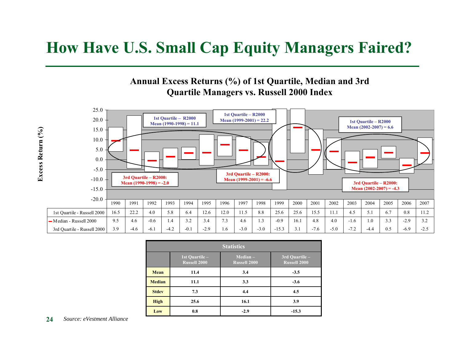### **How Have U.S. Small Cap Equity Managers Faired?**

#### **Annual Excess Returns (%) of 1st Quartile, Median and 3rd Quartile Managers vs. Russell 2000 Index**



| <b>Statistics</b> |                                       |                                   |                                       |  |
|-------------------|---------------------------------------|-----------------------------------|---------------------------------------|--|
|                   | 1st Quartile -<br><b>Russell 2000</b> | $Median -$<br><b>Russell 2000</b> | 3rd Quartile -<br><b>Russell 2000</b> |  |
| Mean              | 11.4                                  | 3.4                               | $-3.5$                                |  |
| <b>Median</b>     | 11.1                                  | 3.3                               | $-3.6$                                |  |
| <b>Stdev</b>      | 7.3                                   | 4.4                               | 4.5                                   |  |
| <b>High</b>       | 25.6                                  | 16.1                              | 3.9                                   |  |
| Low               | 0.8                                   | $-2.9$                            | $-15.3$                               |  |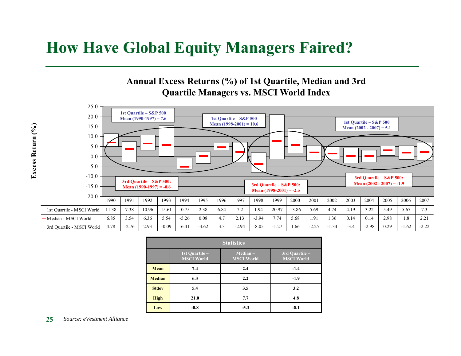### **How Have Global Equity Managers Faired?**

**Annual Excess Returns (%) of 1st Quartile, Median and 3rd Quartile Managers vs. MSCI World Index**



| <b>Statistics</b> |                                     |                                 |                                                   |  |
|-------------------|-------------------------------------|---------------------------------|---------------------------------------------------|--|
|                   | 1st Quartile -<br><b>MSCI World</b> | $Median -$<br><b>MSCI World</b> | $\overline{3}$ rd Quartile –<br><b>MSCI World</b> |  |
| Mean              | 7.4                                 | 2.4                             | $-1.4$                                            |  |
| <b>Median</b>     | 6.3                                 | 2.2                             | $-1.9$                                            |  |
| <b>Stdev</b>      | 5.4                                 | 3.5                             | 3.2                                               |  |
| <b>High</b>       | 21.0                                | 7.7                             | 4.8                                               |  |
| Low               | $-0.8$                              | $-5.3$                          | $-8.1$                                            |  |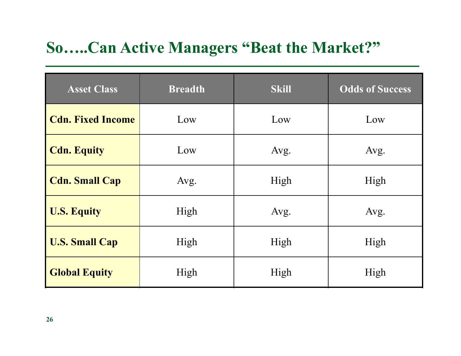# **So…..Can Active Managers "Beat the Market?"**

| <b>Asset Class</b>       | <b>Breadth</b> | <b>Skill</b> | <b>Odds of Success</b> |
|--------------------------|----------------|--------------|------------------------|
| <b>Cdn. Fixed Income</b> | Low            | Low          | Low                    |
| <b>Cdn. Equity</b>       | Low            | Avg.         | Avg.                   |
| <b>Cdn. Small Cap</b>    | Avg.           | High         | High                   |
| <b>U.S. Equity</b>       | High           | Avg.         | Avg.                   |
| <b>U.S. Small Cap</b>    | High           | High         | High                   |
| <b>Global Equity</b>     | High           | High         | High                   |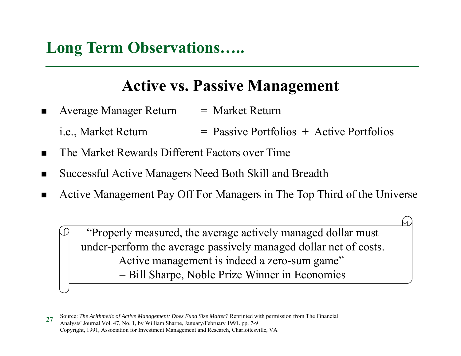# **Long Term Observations…..**

# **Active vs. Passive Management**

- $\blacksquare$ Average Manager Return = Market Return
	- i.e., Market Return  $=$  Passive Portfolios  $+$  Active Portfolios
- $\blacksquare$ The Market Rewards Different Factors over Time
- $\blacksquare$ Successful Active Managers Need Both Skill and Breadth
- $\blacksquare$ Active Management Pay Off For Managers in The Top Third of the Universe

"Properly measured, the average actively managed dollar must under-perform the average passively managed dollar net of costs. Active management is indeed a zero-sum game" Bill Sharpe, Noble Prize Winner in Economics

**<sup>27</sup>**Source: *The Arithmetic of Active Management: Does Fund Size Matter?* Reprinted with permission from The Financial Analysts' Journal Vol. 47, No. 1, by William Sharpe, January/February 1991. pp. 7-9 Copyright, 1991, Association for Investment Management and Research, Charlottesville, VA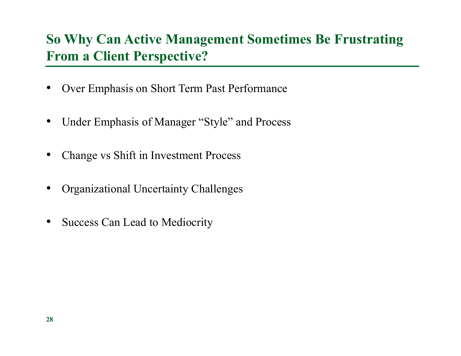### **So Why Can Active Management Sometimes Be Frustrating From a Client Perspective?**

- $\bullet$ Over Emphasis on Short Term Past Performance
- $\bullet$ Under Emphasis of Manager "Style" and Process
- $\bullet$ Change vs Shift in Investment Process
- •Organizational Uncertainty Challenges
- $\bullet$ Success Can Lead to Mediocrity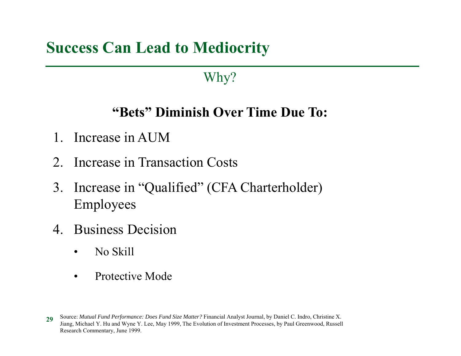# **Success Can Lead to Mediocrity**

### Why?

### **"Bets" Diminish Over Time Due To:**

- 1. Increase in AUM
- 2. Increase in Transaction Costs
- 3. Increase in "Qualified" (CFA Charterholder) Employees
- 4. Business Decision
	- $\bullet$ No Skill
	- •Protective Mode

**<sup>29</sup>**Source: *Mutual Fund Performance: Does Fund Size Matter?* Financial Analyst Journal, by Daniel C. Indro, Christine X. Jiang, Michael Y. Hu and Wyne Y. Lee, May 1999, The Evolution of Investment Processes, by Paul Greenwood, Russell Research Commentary, June 1999.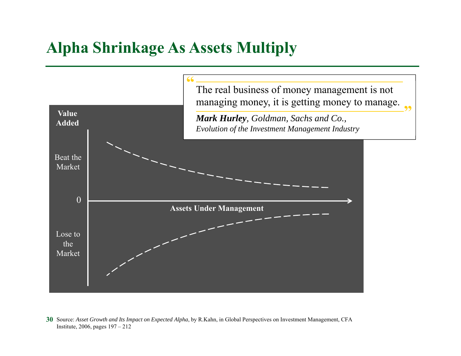# **Alpha Shrinkage As Assets Multiply**



**30** Source: *Asset Growth and Its Impact on Expected Alpha*, by R.Kahn, in Global Perspectives on Investment Management, CFA Institute, 2006, pages 197 – 212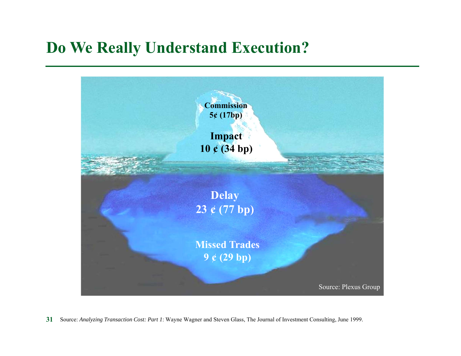# **Do We Really Understand Execution?**



**31** Source: *Analyzing Transaction Cost: Part 1*: Wayne Wagner and Steven Glass, The Journal of Investment Consulting, June 1999.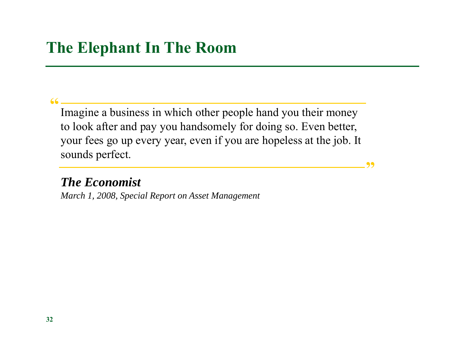#### $\frac{66}{2}$

Imagine a business in which other people hand you their money to look after and pay you handsomely for doing so. Even better, your fees go up every year, even if you are hopeless at the job. It sounds perfect.

**"**

#### *The Economist*

*March 1, 2008, Special Report on Asset Management*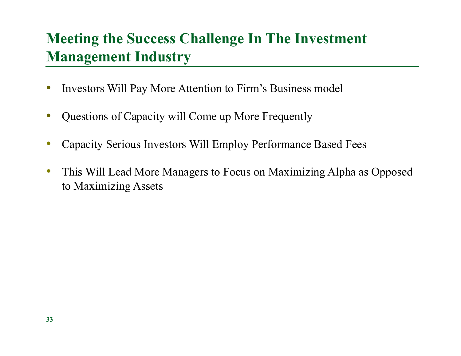# **Meeting the Success Challenge In The Investment Management Industry**

- •Investors Will Pay More Attention to Firm's Business model
- $\bullet$ Questions of Capacity will Come up More Frequently
- •Capacity Serious Investors Will Employ Performance Based Fees
- $\bullet$  This Will Lead More Managers to Focus on Maximizing Alpha as Opposed to Maximizing Assets